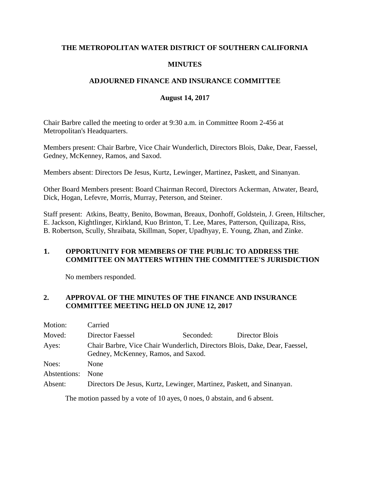## **THE METROPOLITAN WATER DISTRICT OF SOUTHERN CALIFORNIA**

## **MINUTES**

## **ADJOURNED FINANCE AND INSURANCE COMMITTEE**

## **August 14, 2017**

Chair Barbre called the meeting to order at 9:30 a.m. in Committee Room 2-456 at Metropolitan's Headquarters.

Members present: Chair Barbre, Vice Chair Wunderlich, Directors Blois, Dake, Dear, Faessel, Gedney, McKenney, Ramos, and Saxod.

Members absent: Directors De Jesus, Kurtz, Lewinger, Martinez, Paskett, and Sinanyan.

Other Board Members present: Board Chairman Record, Directors Ackerman, Atwater, Beard, Dick, Hogan, Lefevre, Morris, Murray, Peterson, and Steiner.

Staff present: Atkins, Beatty, Benito, Bowman, Breaux, Donhoff, Goldstein, J. Green, Hiltscher, E. Jackson, Kightlinger, Kirkland, Kuo Brinton, T. Lee, Mares, Patterson, Quilizapa, Riss, B. Robertson, Scully, Shraibata, Skillman, Soper, Upadhyay, E. Young, Zhan, and Zinke.

## **1. OPPORTUNITY FOR MEMBERS OF THE PUBLIC TO ADDRESS THE COMMITTEE ON MATTERS WITHIN THE COMMITTEE'S JURISDICTION**

No members responded.

## **2. APPROVAL OF THE MINUTES OF THE FINANCE AND INSURANCE COMMITTEE MEETING HELD ON JUNE 12, 2017**

| Motion:      | Carried                                                                                                           |           |                |
|--------------|-------------------------------------------------------------------------------------------------------------------|-----------|----------------|
| Moved:       | Director Faessel                                                                                                  | Seconded: | Director Blois |
| Ayes:        | Chair Barbre, Vice Chair Wunderlich, Directors Blois, Dake, Dear, Faessel,<br>Gedney, McKenney, Ramos, and Saxod. |           |                |
| Noes:        | None                                                                                                              |           |                |
| Abstentions: | <b>None</b>                                                                                                       |           |                |
| Absent:      | Directors De Jesus, Kurtz, Lewinger, Martinez, Paskett, and Sinanyan.                                             |           |                |

The motion passed by a vote of 10 ayes, 0 noes, 0 abstain, and 6 absent.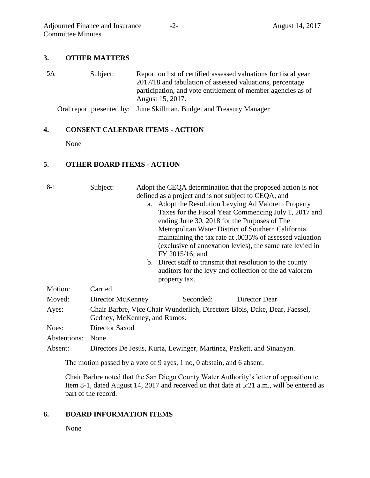## **3. OTHER MATTERS**

5A Subject: Report on list of certified assessed valuations for fiscal year 2017/18 and tabulation of assessed valuations, percentage participation, and vote entitlement of member agencies as of August 15, 2017.

Oral report presented by: June Skillman, Budget and Treasury Manager

#### **4. CONSENT CALENDAR ITEMS - ACTION**

None

## **5. OTHER BOARD ITEMS - ACTION**

| $8-1$        | Subject:                                                                                                   | defined as a project and is not subject to CEQA, and<br>a. Adopt the Resolution Levying Ad Valorem Property<br>ending June 30, 2018 for the Purposes of The<br>Metropolitan Water District of Southern California<br>FY 2015/16; and<br>b. Direct staff to transmit that resolution to the county<br>property tax. | Adopt the CEQA determination that the proposed action is not<br>Taxes for the Fiscal Year Commencing July 1, 2017 and<br>maintaining the tax rate at .0035% of assessed valuation<br>(exclusive of annexation levies), the same rate levied in<br>auditors for the levy and collection of the ad valorem |
|--------------|------------------------------------------------------------------------------------------------------------|--------------------------------------------------------------------------------------------------------------------------------------------------------------------------------------------------------------------------------------------------------------------------------------------------------------------|----------------------------------------------------------------------------------------------------------------------------------------------------------------------------------------------------------------------------------------------------------------------------------------------------------|
| Motion:      | Carried                                                                                                    |                                                                                                                                                                                                                                                                                                                    |                                                                                                                                                                                                                                                                                                          |
| Moved:       | Director McKenney                                                                                          | Seconded:                                                                                                                                                                                                                                                                                                          | Director Dear                                                                                                                                                                                                                                                                                            |
| Ayes:        | Chair Barbre, Vice Chair Wunderlich, Directors Blois, Dake, Dear, Faessel,<br>Gedney, McKenney, and Ramos. |                                                                                                                                                                                                                                                                                                                    |                                                                                                                                                                                                                                                                                                          |
| Noes:        | Director Saxod                                                                                             |                                                                                                                                                                                                                                                                                                                    |                                                                                                                                                                                                                                                                                                          |
| Abstentions: | None                                                                                                       |                                                                                                                                                                                                                                                                                                                    |                                                                                                                                                                                                                                                                                                          |
| Absent:      |                                                                                                            | Directors De Jesus, Kurtz, Lewinger, Martinez, Paskett, and Sinanyan.                                                                                                                                                                                                                                              |                                                                                                                                                                                                                                                                                                          |

The motion passed by a vote of 9 ayes, 1 no, 0 abstain, and 6 absent.

Chair Barbre noted that the San Diego County Water Authority's letter of opposition to Item 8-1, dated August 14, 2017 and received on that date at 5:21 a.m., will be entered as part of the record.

#### **6. BOARD INFORMATION ITEMS**

None